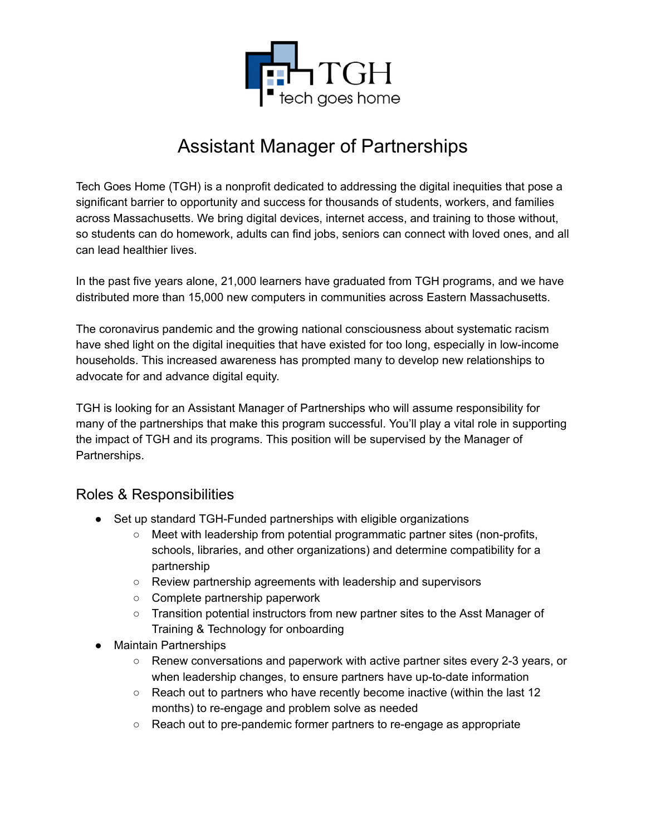

# Assistant Manager of Partnerships

Tech Goes Home (TGH) is a nonprofit dedicated to addressing the digital inequities that pose a significant barrier to opportunity and success for thousands of students, workers, and families across Massachusetts. We bring digital devices, internet access, and training to those without, so students can do homework, adults can find jobs, seniors can connect with loved ones, and all can lead healthier lives.

In the past five years alone, 21,000 learners have graduated from TGH programs, and we have distributed more than 15,000 new computers in communities across Eastern Massachusetts.

The coronavirus pandemic and the growing national consciousness about systematic racism have shed light on the digital inequities that have existed for too long, especially in low-income households. This increased awareness has prompted many to develop new relationships to advocate for and advance digital equity.

TGH is looking for an Assistant Manager of Partnerships who will assume responsibility for many of the partnerships that make this program successful. You'll play a vital role in supporting the impact of TGH and its programs. This position will be supervised by the Manager of Partnerships.

#### Roles & Responsibilities

- Set up standard TGH-Funded partnerships with eligible organizations
	- Meet with leadership from potential programmatic partner sites (non-profits, schools, libraries, and other organizations) and determine compatibility for a partnership
	- Review partnership agreements with leadership and supervisors
	- Complete partnership paperwork
	- Transition potential instructors from new partner sites to the Asst Manager of Training & Technology for onboarding
- Maintain Partnerships
	- Renew conversations and paperwork with active partner sites every 2-3 years, or when leadership changes, to ensure partners have up-to-date information
	- Reach out to partners who have recently become inactive (within the last 12 months) to re-engage and problem solve as needed
	- Reach out to pre-pandemic former partners to re-engage as appropriate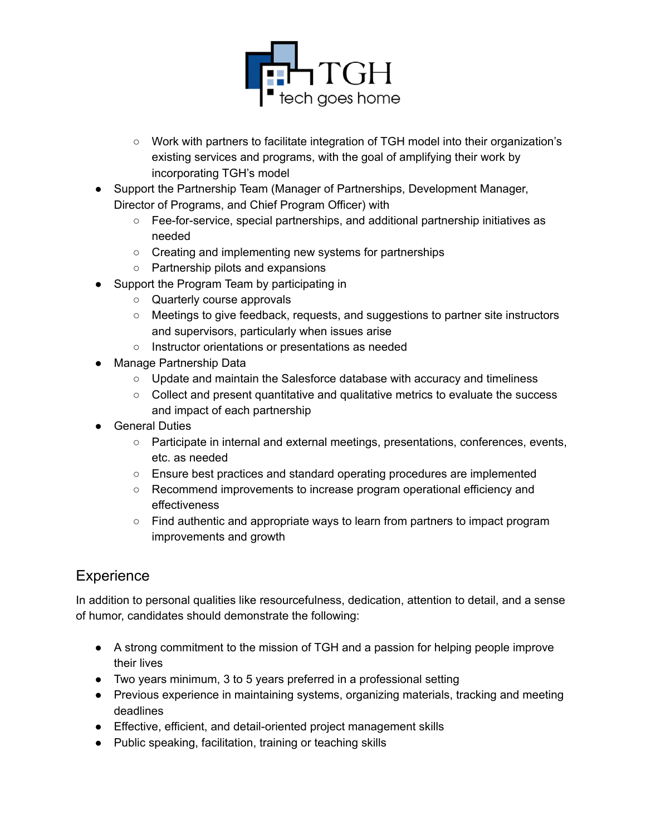

- Work with partners to facilitate integration of TGH model into their organization's existing services and programs, with the goal of amplifying their work by incorporating TGH's model
- Support the Partnership Team (Manager of Partnerships, Development Manager, Director of Programs, and Chief Program Officer) with
	- Fee-for-service, special partnerships, and additional partnership initiatives as needed
	- Creating and implementing new systems for partnerships
	- Partnership pilots and expansions
- Support the Program Team by participating in
	- Quarterly course approvals
	- Meetings to give feedback, requests, and suggestions to partner site instructors and supervisors, particularly when issues arise
	- Instructor orientations or presentations as needed
- Manage Partnership Data
	- Update and maintain the Salesforce database with accuracy and timeliness
	- Collect and present quantitative and qualitative metrics to evaluate the success and impact of each partnership
- **General Duties** 
	- Participate in internal and external meetings, presentations, conferences, events, etc. as needed
	- Ensure best practices and standard operating procedures are implemented
	- Recommend improvements to increase program operational efficiency and effectiveness
	- Find authentic and appropriate ways to learn from partners to impact program improvements and growth

## Experience

In addition to personal qualities like resourcefulness, dedication, attention to detail, and a sense of humor, candidates should demonstrate the following:

- A strong commitment to the mission of TGH and a passion for helping people improve their lives
- Two years minimum, 3 to 5 years preferred in a professional setting
- Previous experience in maintaining systems, organizing materials, tracking and meeting deadlines
- Effective, efficient, and detail-oriented project management skills
- Public speaking, facilitation, training or teaching skills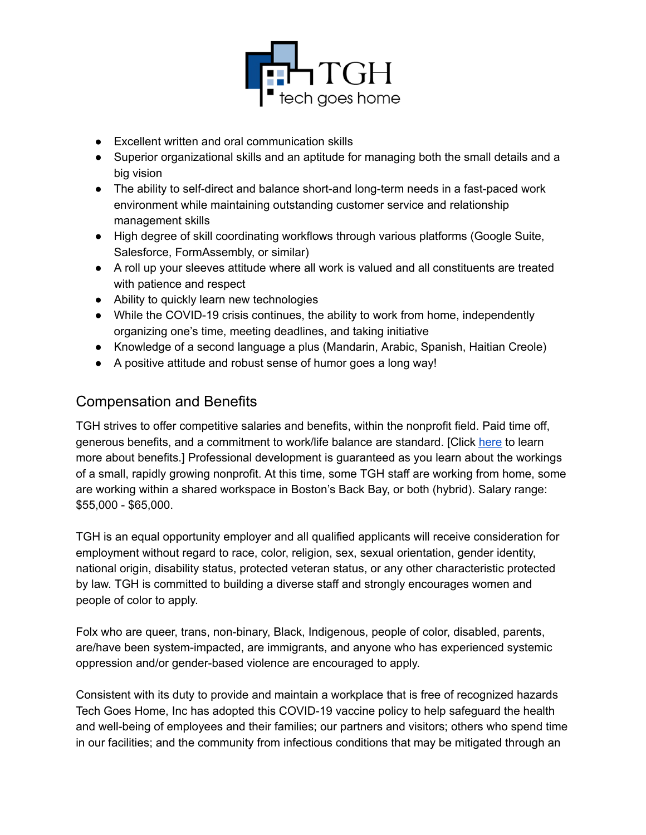

- Excellent written and oral communication skills
- Superior organizational skills and an aptitude for managing both the small details and a big vision
- The ability to self-direct and balance short-and long-term needs in a fast-paced work environment while maintaining outstanding customer service and relationship management skills
- High degree of skill coordinating workflows through various platforms (Google Suite, Salesforce, FormAssembly, or similar)
- A roll up your sleeves attitude where all work is valued and all constituents are treated with patience and respect
- Ability to quickly learn new technologies
- While the COVID-19 crisis continues, the ability to work from home, independently organizing one's time, meeting deadlines, and taking initiative
- Knowledge of a second language a plus (Mandarin, Arabic, Spanish, Haitian Creole)
- A positive attitude and robust sense of humor goes a long way!

#### Compensation and Benefits

TGH strives to offer competitive salaries and benefits, within the nonprofit field. Paid time off, generous benefits, and a commitment to work/life balance are standard. [Click here to learn more about benefits.] Professional development is guaranteed as you learn about the workings of a small, rapidly growing nonprofit. At this time, some TGH staff are working from home, some are working within a shared workspace in Boston's Back Bay, or both (hybrid). Salary range: \$55,000 - \$65,000.

TGH is an equal opportunity employer and all qualified applicants will receive consideration for employment without regard to race, color, religion, sex, sexual orientation, gender identity, national origin, disability status, protected veteran status, or any other characteristic protected by law. TGH is committed to building a diverse staff and strongly encourages women and people of color to apply.

Folx who are queer, trans, non-binary, Black, Indigenous, people of color, disabled, parents, are/have been system-impacted, are immigrants, and anyone who has experienced systemic oppression and/or gender-based violence are encouraged to apply.

Consistent with its duty to provide and maintain a workplace that is free of recognized hazards Tech Goes Home, Inc has adopted this COVID-19 vaccine policy to help safeguard the health and well-being of employees and their families; our partners and visitors; others who spend time in our facilities; and the community from infectious conditions that may be mitigated through an